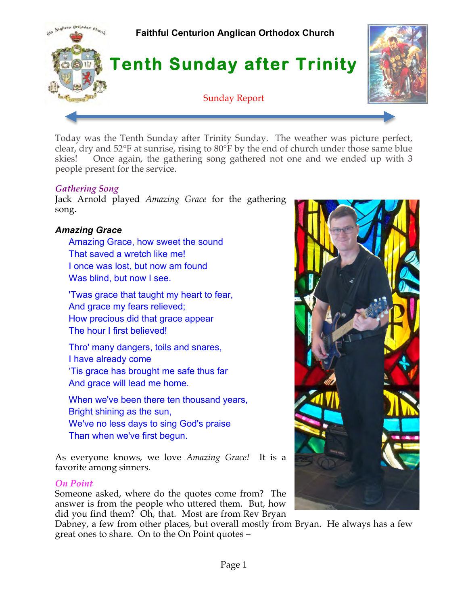

Today was the Tenth Sunday after Trinity Sunday. The weather was picture perfect, clear, dry and 52°F at sunrise, rising to 80°F by the end of church under those same blue skies! Once again, the gathering song gathered not one and we ended up with 3 people present for the service.

### *Gathering Song*

Jack Arnold played *Amazing Grace* for the gathering song.

# *Amazing Grace*

- Amazing Grace, how sweet the sound That saved a wretch like me! I once was lost, but now am found Was blind, but now I see.
- 'Twas grace that taught my heart to fear, And grace my fears relieved; How precious did that grace appear The hour I first believed!
- Thro' many dangers, toils and snares, I have already come 'Tis grace has brought me safe thus far And grace will lead me home.
- When we've been there ten thousand years, Bright shining as the sun, We've no less days to sing God's praise Than when we've first begun.

As everyone knows, we love *Amazing Grace!* It is a favorite among sinners.

### *On Point*

Someone asked, where do the quotes come from? The answer is from the people who uttered them. But, how did you find them? Oh, that. Most are from Rev Bryan

Dabney, a few from other places, but overall mostly from Bryan. He always has a few great ones to share. On to the On Point quotes –

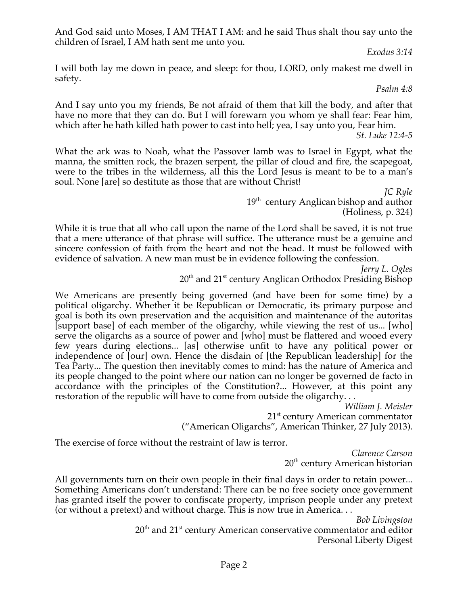And God said unto Moses, I AM THAT I AM: and he said Thus shalt thou say unto the children of Israel, I AM hath sent me unto you.

*Exodus 3:14* 

I will both lay me down in peace, and sleep: for thou, LORD, only makest me dwell in safety.

*Psalm 4:8* 

And I say unto you my friends, Be not afraid of them that kill the body, and after that have no more that they can do. But I will forewarn you whom ye shall fear: Fear him, which after he hath killed hath power to cast into hell; yea, I say unto you, Fear him.

*St. Luke 12:4-5* 

What the ark was to Noah, what the Passover lamb was to Israel in Egypt, what the manna, the smitten rock, the brazen serpent, the pillar of cloud and fire, the scapegoat, were to the tribes in the wilderness, all this the Lord Jesus is meant to be to a man's soul. None [are] so destitute as those that are without Christ!

> *JC Ryle*  $19<sup>th</sup>$  century Anglican bishop and author (Holiness, p. 324)

While it is true that all who call upon the name of the Lord shall be saved, it is not true that a mere utterance of that phrase will suffice. The utterance must be a genuine and sincere confession of faith from the heart and not the head. It must be followed with evidence of salvation. A new man must be in evidence following the confession.

*Jerry L. Ogles*  $20<sup>th</sup>$  and  $21<sup>st</sup>$  century Anglican Orthodox Presiding Bishop

We Americans are presently being governed (and have been for some time) by a political oligarchy. Whether it be Republican or Democratic, its primary purpose and goal is both its own preservation and the acquisition and maintenance of the autoritas [support base] of each member of the oligarchy, while viewing the rest of us... [who] serve the oligarchs as a source of power and [who] must be flattered and wooed every few years during elections... [as] otherwise unfit to have any political power or independence of [our] own. Hence the disdain of [the Republican leadership] for the Tea Party... The question then inevitably comes to mind: has the nature of America and its people changed to the point where our nation can no longer be governed de facto in accordance with the principles of the Constitution?... However, at this point any restoration of the republic will have to come from outside the oligarchy. . .

*William J. Meisler* 21<sup>st</sup> century American commentator ("American Oligarchs", American Thinker, 27 July 2013).

The exercise of force without the restraint of law is terror.

*Clarence Carson*  20<sup>th</sup> century American historian

All governments turn on their own people in their final days in order to retain power... Something Americans don't understand: There can be no free society once government has granted itself the power to confiscate property, imprison people under any pretext (or without a pretext) and without charge. This is now true in America. . .

*Bob Livingston* 20<sup>th</sup> and 21<sup>st</sup> century American conservative commentator and editor Personal Liberty Digest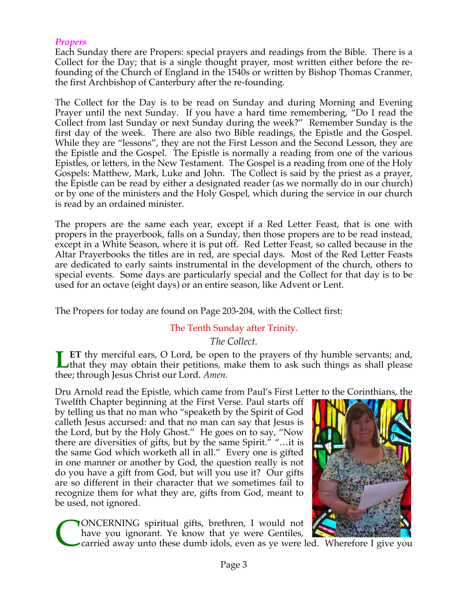### *Propers*

Each Sunday there are Propers: special prayers and readings from the Bible. There is a Collect for the Day; that is a single thought prayer, most written either before the refounding of the Church of England in the 1540s or written by Bishop Thomas Cranmer, the first Archbishop of Canterbury after the re-founding.

The Collect for the Day is to be read on Sunday and during Morning and Evening Prayer until the next Sunday. If you have a hard time remembering, "Do I read the Collect from last Sunday or next Sunday during the week?" Remember Sunday is the first day of the week. There are also two Bible readings, the Epistle and the Gospel. While they are "lessons", they are not the First Lesson and the Second Lesson, they are the Epistle and the Gospel. The Epistle is normally a reading from one of the various Epistles, or letters, in the New Testament. The Gospel is a reading from one of the Holy Gospels: Matthew, Mark, Luke and John. The Collect is said by the priest as a prayer, the Epistle can be read by either a designated reader (as we normally do in our church) or by one of the ministers and the Holy Gospel, which during the service in our church is read by an ordained minister.

The propers are the same each year, except if a Red Letter Feast, that is one with propers in the prayerbook, falls on a Sunday, then those propers are to be read instead, except in a White Season, where it is put off. Red Letter Feast, so called because in the Altar Prayerbooks the titles are in red, are special days. Most of the Red Letter Feasts are dedicated to early saints instrumental in the development of the church, others to special events. Some days are particularly special and the Collect for that day is to be used for an octave (eight days) or an entire season, like Advent or Lent.

The Propers for today are found on Page 203-204, with the Collect first:

# The Tenth Sunday after Trinity.

*The Collect.*

**ET** thy merciful ears, O Lord, be open to the prayers of thy humble servants; and, **Let** thy merciful ears, O Lord, be open to the prayers of thy humble servants; and, that they may obtain their petitions, make them to ask such things as shall please thee; through Jesus Christ our Lord. *Amen.*

Dru Arnold read the Epistle, which came from Paul's First Letter to the Corinthians, the

Twelfth Chapter beginning at the First Verse. Paul starts off by telling us that no man who "speaketh by the Spirit of God calleth Jesus accursed: and that no man can say that Jesus is the Lord, but by the Holy Ghost." He goes on to say, "Now there are diversities of gifts, but by the same Spirit." "…it is the same God which worketh all in all." Every one is gifted in one manner or another by God, the question really is not do you have a gift from God, but will you use it? Our gifts are so different in their character that we sometimes fail to recognize them for what they are, gifts from God, meant to be used, not ignored.

ONCERNING spiritual gifts, brethren, I would not have you ignorant. Ye know that ye were Gentiles, C



carried away unto these dumb idols, even as ye were led. Wherefore I give you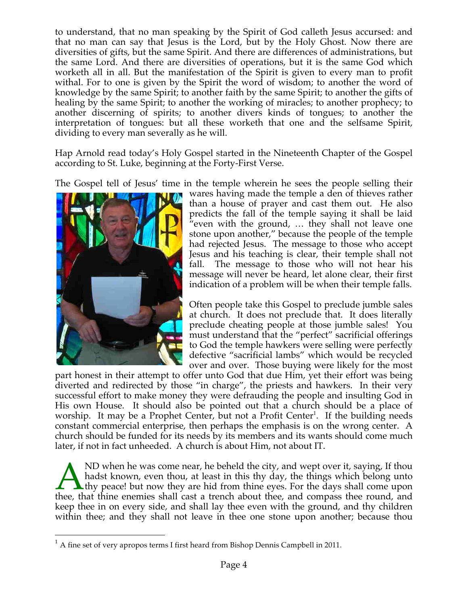to understand, that no man speaking by the Spirit of God calleth Jesus accursed: and that no man can say that Jesus is the Lord, but by the Holy Ghost. Now there are diversities of gifts, but the same Spirit. And there are differences of administrations, but the same Lord. And there are diversities of operations, but it is the same God which worketh all in all. But the manifestation of the Spirit is given to every man to profit withal. For to one is given by the Spirit the word of wisdom; to another the word of knowledge by the same Spirit; to another faith by the same Spirit; to another the gifts of healing by the same Spirit; to another the working of miracles; to another prophecy; to another discerning of spirits; to another divers kinds of tongues; to another the interpretation of tongues: but all these worketh that one and the selfsame Spirit, dividing to every man severally as he will.

Hap Arnold read today's Holy Gospel started in the Nineteenth Chapter of the Gospel according to St. Luke, beginning at the Forty-First Verse.

The Gospel tell of Jesus' time in the temple wherein he sees the people selling their



wares having made the temple a den of thieves rather than a house of prayer and cast them out. He also predicts the fall of the temple saying it shall be laid "even with the ground, … they shall not leave one stone upon another," because the people of the temple had rejected Jesus. The message to those who accept Jesus and his teaching is clear, their temple shall not fall. The message to those who will not hear his message will never be heard, let alone clear, their first indication of a problem will be when their temple falls.

Often people take this Gospel to preclude jumble sales at church. It does not preclude that. It does literally preclude cheating people at those jumble sales! You must understand that the "perfect" sacrificial offerings to God the temple hawkers were selling were perfectly defective "sacrificial lambs" which would be recycled over and over. Those buying were likely for the most

part honest in their attempt to offer unto God that due Him, yet their effort was being diverted and redirected by those "in charge", the priests and hawkers. In their very successful effort to make money they were defrauding the people and insulting God in His own House. It should also be pointed out that a church should be a place of worship. It may be a Prophet Center, but not a Profit Center<sup>1</sup>. If the building needs constant commercial enterprise, then perhaps the emphasis is on the wrong center. A church should be funded for its needs by its members and its wants should come much later, if not in fact unheeded. A church is about Him, not about IT.

ND when he was come near, he beheld the city, and wept over it, saying, If thou hadst known, even thou, at least in this thy day, the things which belong unto  $\blacktriangle$  thy peace! but now they are hid from thine eyes. For the days shall come upon A ND when he was come near, he beheld the city, and wept over it, saying, If thou hadst known, even thou, at least in this thy day, the things which belong unto thee, that thine enemies shall cast a trench about thee, and keep thee in on every side, and shall lay thee even with the ground, and thy children within thee; and they shall not leave in thee one stone upon another; because thou

 $1$  A fine set of very apropos terms I first heard from Bishop Dennis Campbell in 2011.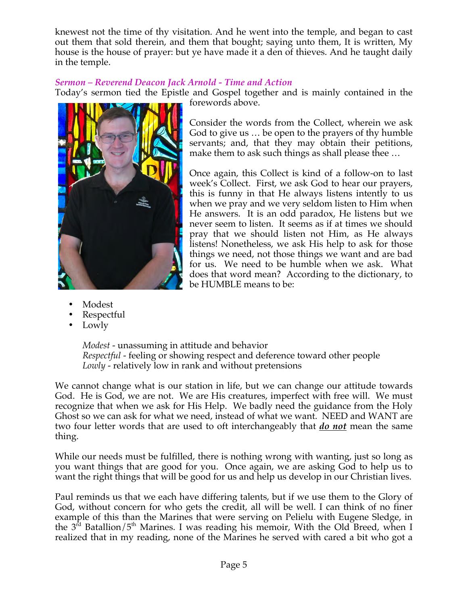knewest not the time of thy visitation. And he went into the temple, and began to cast out them that sold therein, and them that bought; saying unto them, It is written, My house is the house of prayer: but ye have made it a den of thieves. And he taught daily in the temple.

# *Sermon – Reverend Deacon Jack Arnold - Time and Action*

Today's sermon tied the Epistle and Gospel together and is mainly contained in the



forewords above.

Consider the words from the Collect, wherein we ask God to give us … be open to the prayers of thy humble servants; and, that they may obtain their petitions, make them to ask such things as shall please thee …

Once again, this Collect is kind of a follow-on to last week's Collect. First, we ask God to hear our prayers, this is funny in that He always listens intently to us when we pray and we very seldom listen to Him when He answers. It is an odd paradox, He listens but we never seem to listen. It seems as if at times we should pray that we should listen not Him, as He always listens! Nonetheless, we ask His help to ask for those things we need, not those things we want and are bad for us. We need to be humble when we ask. What does that word mean? According to the dictionary, to be HUMBLE means to be:

- Modest
- Respectful
- Lowly

*Modest* - unassuming in attitude and behavior *Respectful* - feeling or showing respect and deference toward other people *Lowly* - relatively low in rank and without pretensions

We cannot change what is our station in life, but we can change our attitude towards God. He is God, we are not. We are His creatures, imperfect with free will. We must recognize that when we ask for His Help. We badly need the guidance from the Holy Ghost so we can ask for what we need, instead of what we want. NEED and WANT are two four letter words that are used to oft interchangeably that *do not* mean the same thing.

While our needs must be fulfilled, there is nothing wrong with wanting, just so long as you want things that are good for you. Once again, we are asking God to help us to want the right things that will be good for us and help us develop in our Christian lives.

Paul reminds us that we each have differing talents, but if we use them to the Glory of God, without concern for who gets the credit, all will be well. I can think of no finer example of this than the Marines that were serving on Pelielu with Eugene Sledge, in the  $3<sup>rd</sup>$  Batallion/ $5<sup>th</sup>$  Marines. I was reading his memoir, With the Old Breed, when I realized that in my reading, none of the Marines he served with cared a bit who got a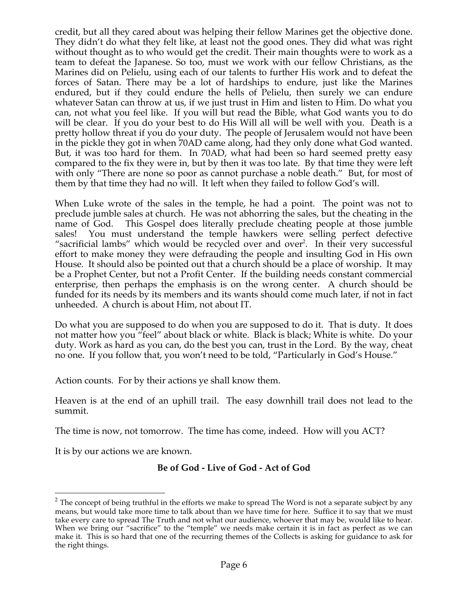credit, but all they cared about was helping their fellow Marines get the objective done. They didn't do what they felt like, at least not the good ones. They did what was right without thought as to who would get the credit. Their main thoughts were to work as a team to defeat the Japanese. So too, must we work with our fellow Christians, as the Marines did on Pelielu, using each of our talents to further His work and to defeat the forces of Satan. There may be a lot of hardships to endure, just like the Marines endured, but if they could endure the hells of Pelielu, then surely we can endure whatever Satan can throw at us, if we just trust in Him and listen to Him. Do what you can, not what you feel like. If you will but read the Bible, what God wants you to do will be clear. If you do your best to do His Will all will be well with you. Death is a pretty hollow threat if you do your duty. The people of Jerusalem would not have been in the pickle they got in when 70AD came along, had they only done what God wanted. But, it was too hard for them. In 70AD, what had been so hard seemed pretty easy compared to the fix they were in, but by then it was too late. By that time they were left with only "There are none so poor as cannot purchase a noble death." But, for most of them by that time they had no will. It left when they failed to follow God's will.

When Luke wrote of the sales in the temple, he had a point. The point was not to preclude jumble sales at church. He was not abhorring the sales, but the cheating in the name of God. This Gospel does literally preclude cheating people at those jumble sales! You must understand the temple hawkers were selling perfect defective "sacrificial lambs" which would be recycled over and over $\alpha$ . In their very successful effort to make money they were defrauding the people and insulting God in His own House. It should also be pointed out that a church should be a place of worship. It may be a Prophet Center, but not a Profit Center. If the building needs constant commercial enterprise, then perhaps the emphasis is on the wrong center. A church should be funded for its needs by its members and its wants should come much later, if not in fact unheeded. A church is about Him, not about IT.

Do what you are supposed to do when you are supposed to do it. That is duty. It does not matter how you "feel" about black or white. Black is black; White is white. Do your duty. Work as hard as you can, do the best you can, trust in the Lord. By the way, cheat no one. If you follow that, you won't need to be told, "Particularly in God's House."

Action counts. For by their actions ye shall know them.

Heaven is at the end of an uphill trail. The easy downhill trail does not lead to the summit.

The time is now, not tomorrow. The time has come, indeed. How will you ACT?

It is by our actions we are known.

# **Be of God - Live of God - Act of God**

 $2$  The concept of being truthful in the efforts we make to spread The Word is not a separate subject by any means, but would take more time to talk about than we have time for here. Suffice it to say that we must take every care to spread The Truth and not what our audience, whoever that may be, would like to hear. When we bring our "sacrifice" to the "temple" we needs make certain it is in fact as perfect as we can make it. This is so hard that one of the recurring themes of the Collects is asking for guidance to ask for the right things.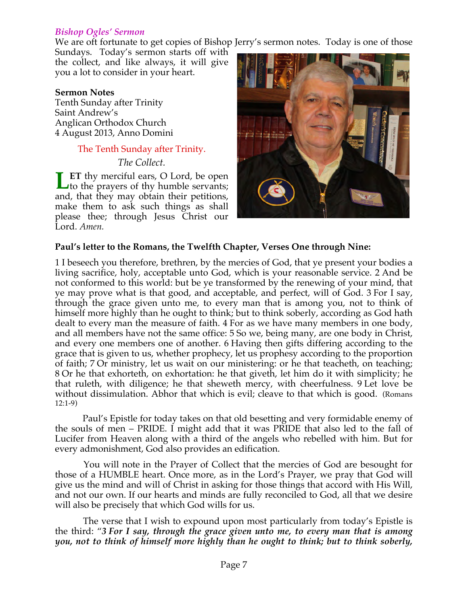### *Bishop Ogles' Sermon*

We are oft fortunate to get copies of Bishop Jerry's sermon notes. Today is one of those

Sundays. Today's sermon starts off with the collect, and like always, it will give you a lot to consider in your heart.

#### **Sermon Notes**

Tenth Sunday after Trinity Saint Andrew's Anglican Orthodox Church 4 August 2013, Anno Domini

# The Tenth Sunday after Trinity.

*The Collect.*

**ET** thy merciful ears, O Lord, be open to the prayers of thy humble servants; and, that they may obtain their petitions, make them to ask such things as shall please thee; through Jesus Christ our Lord. *Amen.* **L**



### **Paul's letter to the Romans, the Twelfth Chapter, Verses One through Nine:**

1 I beseech you therefore, brethren, by the mercies of God, that ye present your bodies a living sacrifice, holy, acceptable unto God, which is your reasonable service. 2 And be not conformed to this world: but be ye transformed by the renewing of your mind, that ye may prove what is that good, and acceptable, and perfect, will of God. 3 For I say, through the grace given unto me, to every man that is among you, not to think of himself more highly than he ought to think; but to think soberly, according as God hath dealt to every man the measure of faith. 4 For as we have many members in one body, and all members have not the same office: 5 So we, being many, are one body in Christ, and every one members one of another. 6 Having then gifts differing according to the grace that is given to us, whether prophecy, let us prophesy according to the proportion of faith; 7 Or ministry, let us wait on our ministering: or he that teacheth, on teaching; 8 Or he that exhorteth, on exhortation: he that giveth, let him do it with simplicity; he that ruleth, with diligence; he that sheweth mercy, with cheerfulness. 9 Let love be without dissimulation. Abhor that which is evil; cleave to that which is good. (Romans 12:1-9)

 Paul's Epistle for today takes on that old besetting and very formidable enemy of the souls of men – PRIDE. I might add that it was PRIDE that also led to the fall of Lucifer from Heaven along with a third of the angels who rebelled with him. But for every admonishment, God also provides an edification.

 You will note in the Prayer of Collect that the mercies of God are besought for those of a HUMBLE heart. Once more, as in the Lord's Prayer, we pray that God will give us the mind and will of Christ in asking for those things that accord with His Will, and not our own. If our hearts and minds are fully reconciled to God, all that we desire will also be precisely that which God wills for us.

 The verse that I wish to expound upon most particularly from today's Epistle is the third: "*3 For I say, through the grace given unto me, to every man that is among you, not to think of himself more highly than he ought to think; but to think soberly,*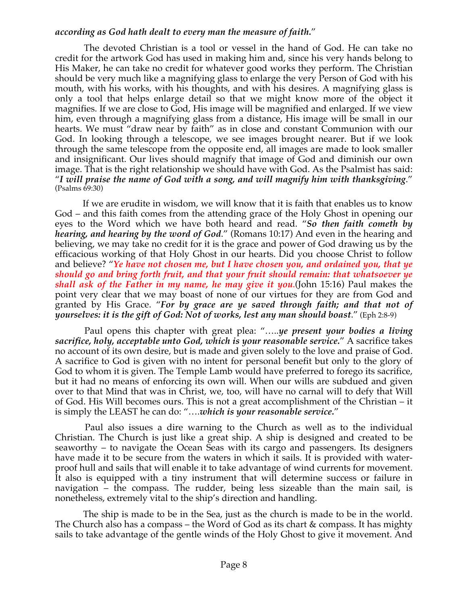#### *according as God hath dealt to every man the measure of faith.*"

 The devoted Christian is a tool or vessel in the hand of God. He can take no credit for the artwork God has used in making him and, since his very hands belong to His Maker, he can take no credit for whatever good works they perform. The Christian should be very much like a magnifying glass to enlarge the very Person of God with his mouth, with his works, with his thoughts, and with his desires. A magnifying glass is only a tool that helps enlarge detail so that we might know more of the object it magnifies. If we are close to God, His image will be magnified and enlarged. If we view him, even through a magnifying glass from a distance, His image will be small in our hearts. We must "draw near by faith" as in close and constant Communion with our God. In looking through a telescope, we see images brought nearer. But if we look through the same telescope from the opposite end, all images are made to look smaller and insignificant. Our lives should magnify that image of God and diminish our own image. That is the right relationship we should have with God. As the Psalmist has said: "*I will praise the name of God with a song, and will magnify him with thanksgiving*." (Psalms 69:30)

 If we are erudite in wisdom, we will know that it is faith that enables us to know God – and this faith comes from the attending grace of the Holy Ghost in opening our eyes to the Word which we have both heard and read. "*So then faith cometh by hearing, and hearing by the word of God*." (Romans 10:17) And even in the hearing and believing, we may take no credit for it is the grace and power of God drawing us by the efficacious working of that Holy Ghost in our hearts. Did you choose Christ to follow and believe? "*Ye have not chosen me, but I have chosen you, and ordained you, that ye should go and bring forth fruit, and that your fruit should remain: that whatsoever ye shall ask of the Father in my name, he may give it you*.(John 15:16) Paul makes the point very clear that we may boast of none of our virtues for they are from God and granted by His Grace. "*For by grace are ye saved through faith; and that not of yourselves: it is the gift of God: Not of works, lest any man should boast*." (Eph 2:8-9)

 Paul opens this chapter with great plea: "…..*ye present your bodies a living sacrifice, holy, acceptable unto God, which is your reasonable service.*" A sacrifice takes no account of its own desire, but is made and given solely to the love and praise of God. A sacrifice to God is given with no intent for personal benefit but only to the glory of God to whom it is given. The Temple Lamb would have preferred to forego its sacrifice, but it had no means of enforcing its own will. When our wills are subdued and given over to that Mind that was in Christ, we, too, will have no carnal will to defy that Will of God. His Will becomes ours. This is not a great accomplishment of the Christian – it is simply the LEAST he can do: "….*which is your reasonable service.*"

 Paul also issues a dire warning to the Church as well as to the individual Christian. The Church is just like a great ship. A ship is designed and created to be seaworthy – to navigate the Ocean Seas with its cargo and passengers. Its designers have made it to be secure from the waters in which it sails. It is provided with waterproof hull and sails that will enable it to take advantage of wind currents for movement. It also is equipped with a tiny instrument that will determine success or failure in navigation – the compass. The rudder, being less sizeable than the main sail, is nonetheless, extremely vital to the ship's direction and handling.

 The ship is made to be in the Sea, just as the church is made to be in the world. The Church also has a compass – the Word of God as its chart  $\&$  compass. It has mighty sails to take advantage of the gentle winds of the Holy Ghost to give it movement. And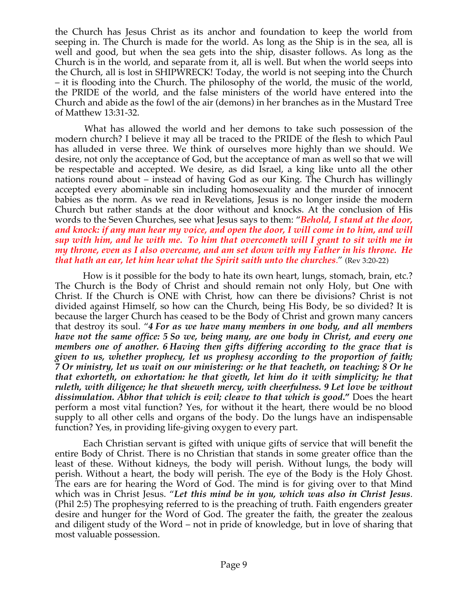the Church has Jesus Christ as its anchor and foundation to keep the world from seeping in. The Church is made for the world. As long as the Ship is in the sea, all is well and good, but when the sea gets into the ship, disaster follows. As long as the Church is in the world, and separate from it, all is well. But when the world seeps into the Church, all is lost in SHIPWRECK! Today, the world is not seeping into the Church – it is flooding into the Church. The philosophy of the world, the music of the world, the PRIDE of the world, and the false ministers of the world have entered into the Church and abide as the fowl of the air (demons) in her branches as in the Mustard Tree of Matthew 13:31-32.

 What has allowed the world and her demons to take such possession of the modern church? I believe it may all be traced to the PRIDE of the flesh to which Paul has alluded in verse three. We think of ourselves more highly than we should. We desire, not only the acceptance of God, but the acceptance of man as well so that we will be respectable and accepted. We desire, as did Israel, a king like unto all the other nations round about – instead of having God as our King. The Church has willingly accepted every abominable sin including homosexuality and the murder of innocent babies as the norm. As we read in Revelations, Jesus is no longer inside the modern Church but rather stands at the door without and knocks. At the conclusion of His words to the Seven Churches, see what Jesus says to them: "*Behold, I stand at the door, and knock: if any man hear my voice, and open the door, I will come in to him, and will sup with him, and he with me. To him that overcometh will I grant to sit with me in my throne, even as I also overcame, and am set down with my Father in his throne. He that hath an ear, let him hear what the Spirit saith unto the churches*." (Rev 3:20-22)

 How is it possible for the body to hate its own heart, lungs, stomach, brain, etc.? The Church is the Body of Christ and should remain not only Holy, but One with Christ. If the Church is ONE with Christ, how can there be divisions? Christ is not divided against Himself, so how can the Church, being His Body, be so divided? It is because the larger Church has ceased to be the Body of Christ and grown many cancers that destroy its soul. "*4 For as we have many members in one body, and all members have not the same office: 5 So we, being many, are one body in Christ, and every one members one of another. 6 Having then gifts differing according to the grace that is given to us, whether prophecy, let us prophesy according to the proportion of faith; 7 Or ministry, let us wait on our ministering: or he that teacheth, on teaching; 8 Or he that exhorteth, on exhortation: he that giveth, let him do it with simplicity; he that ruleth, with diligence; he that sheweth mercy, with cheerfulness. 9 Let love be without dissimulation. Abhor that which is evil; cleave to that which is good***."** Does the heart perform a most vital function? Yes, for without it the heart, there would be no blood supply to all other cells and organs of the body. Do the lungs have an indispensable function? Yes, in providing life-giving oxygen to every part.

 Each Christian servant is gifted with unique gifts of service that will benefit the entire Body of Christ. There is no Christian that stands in some greater office than the least of these. Without kidneys, the body will perish. Without lungs, the body will perish. Without a heart, the body will perish. The eye of the Body is the Holy Ghost. The ears are for hearing the Word of God. The mind is for giving over to that Mind which was in Christ Jesus. "*Let this mind be in you, which was also in Christ Jesus*. (Phil 2:5) The prophesying referred to is the preaching of truth. Faith engenders greater desire and hunger for the Word of God. The greater the faith, the greater the zealous and diligent study of the Word – not in pride of knowledge, but in love of sharing that most valuable possession.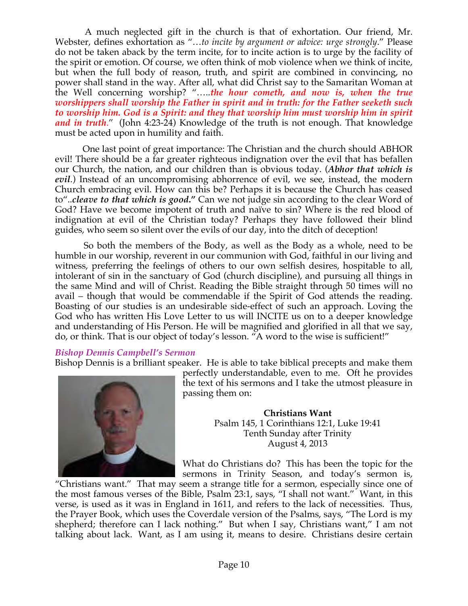A much neglected gift in the church is that of exhortation. Our friend, Mr. Webster, defines exhortation as "…*to incite by argument or advice: urge strongly*." Please do not be taken aback by the term incite, for to incite action is to urge by the facility of the spirit or emotion. Of course, we often think of mob violence when we think of incite, but when the full body of reason, truth, and spirit are combined in convincing, no power shall stand in the way. After all, what did Christ say to the Samaritan Woman at the Well concerning worship? "…..*the hour cometh, and now is, when the true worshippers shall worship the Father in spirit and in truth: for the Father seeketh such to worship him. God is a Spirit: and they that worship him must worship him in spirit and in truth*." (John 4:23-24) Knowledge of the truth is not enough. That knowledge must be acted upon in humility and faith.

 One last point of great importance: The Christian and the church should ABHOR evil! There should be a far greater righteous indignation over the evil that has befallen our Church, the nation, and our children than is obvious today. (*Abhor that which is evil*.) Instead of an uncompromising abhorrence of evil, we see, instead, the modern Church embracing evil. How can this be? Perhaps it is because the Church has ceased to"..*cleave to that which is good***."** Can we not judge sin according to the clear Word of God? Have we become impotent of truth and naïve to sin? Where is the red blood of indignation at evil of the Christian today? Perhaps they have followed their blind guides, who seem so silent over the evils of our day, into the ditch of deception!

 So both the members of the Body, as well as the Body as a whole, need to be humble in our worship, reverent in our communion with God, faithful in our living and witness, preferring the feelings of others to our own selfish desires, hospitable to all, intolerant of sin in the sanctuary of God (church discipline), and pursuing all things in the same Mind and will of Christ. Reading the Bible straight through 50 times will no avail – though that would be commendable if the Spirit of God attends the reading. Boasting of our studies is an undesirable side-effect of such an approach. Loving the God who has written His Love Letter to us will INCITE us on to a deeper knowledge and understanding of His Person. He will be magnified and glorified in all that we say, do, or think. That is our object of today's lesson. "A word to the wise is sufficient!"

### *Bishop Dennis Campbell's Sermon*

Bishop Dennis is a brilliant speaker. He is able to take biblical precepts and make them



perfectly understandable, even to me. Oft he provides the text of his sermons and I take the utmost pleasure in passing them on:

> **Christians Want** Psalm 145, 1 Corinthians 12:1, Luke 19:41 Tenth Sunday after Trinity August 4, 2013

What do Christians do? This has been the topic for the sermons in Trinity Season, and today's sermon is,

"Christians want." That may seem a strange title for a sermon, especially since one of the most famous verses of the Bible, Psalm 23:1, says, "I shall not want." Want, in this verse, is used as it was in England in 1611, and refers to the lack of necessities. Thus, the Prayer Book, which uses the Coverdale version of the Psalms, says, "The Lord is my shepherd; therefore can I lack nothing." But when I say, Christians want," I am not talking about lack. Want, as I am using it, means to desire. Christians desire certain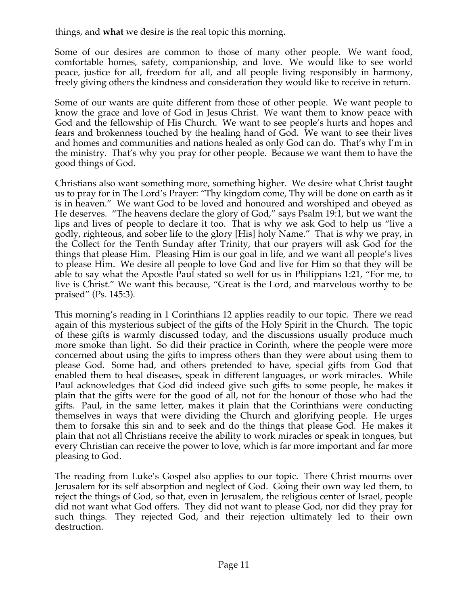things, and **what** we desire is the real topic this morning.

Some of our desires are common to those of many other people. We want food, comfortable homes, safety, companionship, and love. We would like to see world peace, justice for all, freedom for all, and all people living responsibly in harmony, freely giving others the kindness and consideration they would like to receive in return.

Some of our wants are quite different from those of other people. We want people to know the grace and love of God in Jesus Christ. We want them to know peace with God and the fellowship of His Church. We want to see people's hurts and hopes and fears and brokenness touched by the healing hand of God. We want to see their lives and homes and communities and nations healed as only God can do. That's why I'm in the ministry. That's why you pray for other people. Because we want them to have the good things of God.

Christians also want something more, something higher. We desire what Christ taught us to pray for in The Lord's Prayer: "Thy kingdom come, Thy will be done on earth as it is in heaven." We want God to be loved and honoured and worshiped and obeyed as He deserves. "The heavens declare the glory of God," says Psalm 19:1, but we want the lips and lives of people to declare it too. That is why we ask God to help us "live a godly, righteous, and sober life to the glory [His] holy Name." That is why we pray, in the Collect for the Tenth Sunday after Trinity, that our prayers will ask God for the things that please Him. Pleasing Him is our goal in life, and we want all people's lives to please Him. We desire all people to love God and live for Him so that they will be able to say what the Apostle Paul stated so well for us in Philippians 1:21, "For me, to live is Christ." We want this because, "Great is the Lord, and marvelous worthy to be praised" (Ps. 145:3).

This morning's reading in 1 Corinthians 12 applies readily to our topic. There we read again of this mysterious subject of the gifts of the Holy Spirit in the Church. The topic of these gifts is warmly discussed today, and the discussions usually produce much more smoke than light. So did their practice in Corinth, where the people were more concerned about using the gifts to impress others than they were about using them to please God. Some had, and others pretended to have, special gifts from God that enabled them to heal diseases, speak in different languages, or work miracles. While Paul acknowledges that God did indeed give such gifts to some people, he makes it plain that the gifts were for the good of all, not for the honour of those who had the gifts. Paul, in the same letter, makes it plain that the Corinthians were conducting themselves in ways that were dividing the Church and glorifying people. He urges them to forsake this sin and to seek and do the things that please God. He makes it plain that not all Christians receive the ability to work miracles or speak in tongues, but every Christian can receive the power to love, which is far more important and far more pleasing to God.

The reading from Luke's Gospel also applies to our topic. There Christ mourns over Jerusalem for its self absorption and neglect of God. Going their own way led them, to reject the things of God, so that, even in Jerusalem, the religious center of Israel, people did not want what God offers. They did not want to please God, nor did they pray for such things. They rejected God, and their rejection ultimately led to their own destruction.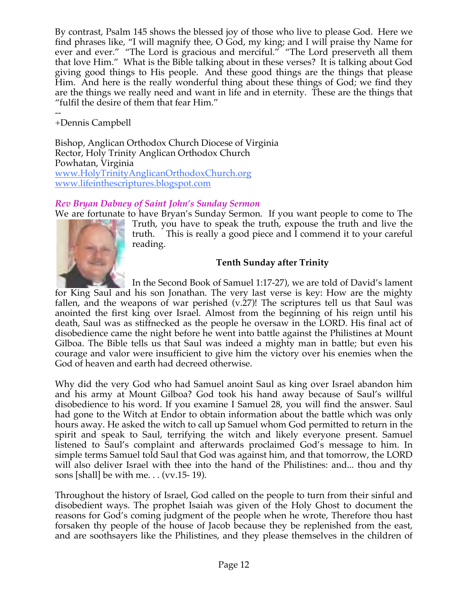By contrast, Psalm 145 shows the blessed joy of those who live to please God. Here we find phrases like, "I will magnify thee, O God, my king; and I will praise thy Name for ever and ever." "The Lord is gracious and merciful." "The Lord preserveth all them that love Him." What is the Bible talking about in these verses? It is talking about God giving good things to His people. And these good things are the things that please Him. And here is the really wonderful thing about these things of God; we find they are the things we really need and want in life and in eternity. These are the things that "fulfil the desire of them that fear Him."

-- +Dennis Campbell

Bishop, Anglican Orthodox Church Diocese of Virginia Rector, Holy Trinity Anglican Orthodox Church Powhatan, Virginia www.HolyTrinityAnglicanOrthodoxChurch.org www.lifeinthescriptures.blogspot.com

# *Rev Bryan Dabney of Saint John's Sunday Sermon*

We are fortunate to have Bryan's Sunday Sermon. If you want people to come to The Truth, you have to speak the truth, expouse the truth and live the truth. This is really a good piece and I commend it to your careful reading.

# **Tenth Sunday after Trinity**

In the Second Book of Samuel 1:17-27), we are told of David's lament for King Saul and his son Jonathan. The very last verse is key: How are the mighty fallen, and the weapons of war perished  $(v.27)$ ! The scriptures tell us that Saul was anointed the first king over Israel. Almost from the beginning of his reign until his death, Saul was as stiffnecked as the people he oversaw in the LORD. His final act of disobedience came the night before he went into battle against the Philistines at Mount Gilboa. The Bible tells us that Saul was indeed a mighty man in battle; but even his courage and valor were insufficient to give him the victory over his enemies when the God of heaven and earth had decreed otherwise.

Why did the very God who had Samuel anoint Saul as king over Israel abandon him and his army at Mount Gilboa? God took his hand away because of Saul's willful disobedience to his word. If you examine I Samuel 28, you will find the answer. Saul had gone to the Witch at Endor to obtain information about the battle which was only hours away. He asked the witch to call up Samuel whom God permitted to return in the spirit and speak to Saul, terrifying the witch and likely everyone present. Samuel listened to Saul's complaint and afterwards proclaimed God's message to him. In simple terms Samuel told Saul that God was against him, and that tomorrow, the LORD will also deliver Israel with thee into the hand of the Philistines: and... thou and thy sons [shall] be with me. . . (vv.15- 19).

Throughout the history of Israel, God called on the people to turn from their sinful and disobedient ways. The prophet Isaiah was given of the Holy Ghost to document the reasons for God's coming judgment of the people when he wrote, Therefore thou hast forsaken thy people of the house of Jacob because they be replenished from the east, and are soothsayers like the Philistines, and they please themselves in the children of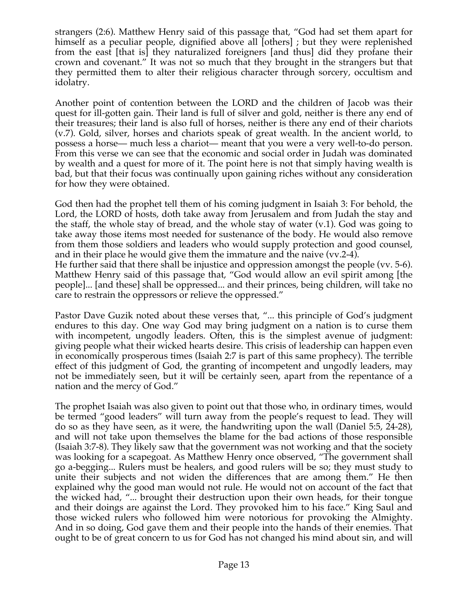strangers (2:6). Matthew Henry said of this passage that, "God had set them apart for himself as a peculiar people, dignified above all [others]; but they were replenished from the east [that is] they naturalized foreigners [and thus] did they profane their crown and covenant." It was not so much that they brought in the strangers but that they permitted them to alter their religious character through sorcery, occultism and idolatry.

Another point of contention between the LORD and the children of Jacob was their quest for ill-gotten gain. Their land is full of silver and gold, neither is there any end of their treasures; their land is also full of horses, neither is there any end of their chariots (v.7). Gold, silver, horses and chariots speak of great wealth. In the ancient world, to possess a horse— much less a chariot— meant that you were a very well-to-do person. From this verse we can see that the economic and social order in Judah was dominated by wealth and a quest for more of it. The point here is not that simply having wealth is bad, but that their focus was continually upon gaining riches without any consideration for how they were obtained.

God then had the prophet tell them of his coming judgment in Isaiah 3: For behold, the Lord, the LORD of hosts, doth take away from Jerusalem and from Judah the stay and the staff, the whole stay of bread, and the whole stay of water (v.1). God was going to take away those items most needed for sustenance of the body. He would also remove from them those soldiers and leaders who would supply protection and good counsel, and in their place he would give them the immature and the naive (vv.2-4).

He further said that there shall be injustice and oppression amongst the people (vv. 5-6). Matthew Henry said of this passage that, "God would allow an evil spirit among [the people]... [and these] shall be oppressed... and their princes, being children, will take no care to restrain the oppressors or relieve the oppressed."

Pastor Dave Guzik noted about these verses that, "... this principle of God's judgment endures to this day. One way God may bring judgment on a nation is to curse them with incompetent, ungodly leaders. Often, this is the simplest avenue of judgment: giving people what their wicked hearts desire. This crisis of leadership can happen even in economically prosperous times (Isaiah 2:7 is part of this same prophecy). The terrible effect of this judgment of God, the granting of incompetent and ungodly leaders, may not be immediately seen, but it will be certainly seen, apart from the repentance of a nation and the mercy of God."

The prophet Isaiah was also given to point out that those who, in ordinary times, would be termed "good leaders" will turn away from the people's request to lead. They will do so as they have seen, as it were, the handwriting upon the wall (Daniel 5:5, 24-28), and will not take upon themselves the blame for the bad actions of those responsible (Isaiah 3:7-8). They likely saw that the government was not working and that the society was looking for a scapegoat. As Matthew Henry once observed, "The government shall go a-begging... Rulers must be healers, and good rulers will be so; they must study to unite their subjects and not widen the differences that are among them." He then explained why the good man would not rule. He would not on account of the fact that the wicked had, "... brought their destruction upon their own heads, for their tongue and their doings are against the Lord. They provoked him to his face." King Saul and those wicked rulers who followed him were notorious for provoking the Almighty. And in so doing, God gave them and their people into the hands of their enemies. That ought to be of great concern to us for God has not changed his mind about sin, and will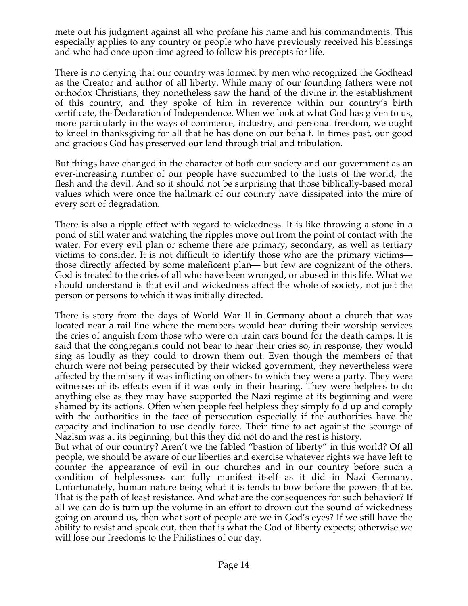mete out his judgment against all who profane his name and his commandments. This especially applies to any country or people who have previously received his blessings and who had once upon time agreed to follow his precepts for life.

There is no denying that our country was formed by men who recognized the Godhead as the Creator and author of all liberty. While many of our founding fathers were not orthodox Christians, they nonetheless saw the hand of the divine in the establishment of this country, and they spoke of him in reverence within our country's birth certificate, the Declaration of Independence. When we look at what God has given to us, more particularly in the ways of commerce, industry, and personal freedom, we ought to kneel in thanksgiving for all that he has done on our behalf. In times past, our good and gracious God has preserved our land through trial and tribulation.

But things have changed in the character of both our society and our government as an ever-increasing number of our people have succumbed to the lusts of the world, the flesh and the devil. And so it should not be surprising that those biblically-based moral values which were once the hallmark of our country have dissipated into the mire of every sort of degradation.

There is also a ripple effect with regard to wickedness. It is like throwing a stone in a pond of still water and watching the ripples move out from the point of contact with the water. For every evil plan or scheme there are primary, secondary, as well as tertiary victims to consider. It is not difficult to identify those who are the primary victims those directly affected by some maleficent plan— but few are cognizant of the others. God is treated to the cries of all who have been wronged, or abused in this life. What we should understand is that evil and wickedness affect the whole of society, not just the person or persons to which it was initially directed.

There is story from the days of World War II in Germany about a church that was located near a rail line where the members would hear during their worship services the cries of anguish from those who were on train cars bound for the death camps. It is said that the congregants could not bear to hear their cries so, in response, they would sing as loudly as they could to drown them out. Even though the members of that church were not being persecuted by their wicked government, they nevertheless were affected by the misery it was inflicting on others to which they were a party. They were witnesses of its effects even if it was only in their hearing. They were helpless to do anything else as they may have supported the Nazi regime at its beginning and were shamed by its actions. Often when people feel helpless they simply fold up and comply with the authorities in the face of persecution especially if the authorities have the capacity and inclination to use deadly force. Their time to act against the scourge of Nazism was at its beginning, but this they did not do and the rest is history.

But what of our country? Aren't we the fabled "bastion of liberty" in this world? Of all people, we should be aware of our liberties and exercise whatever rights we have left to counter the appearance of evil in our churches and in our country before such a condition of helplessness can fully manifest itself as it did in Nazi Germany. Unfortunately, human nature being what it is tends to bow before the powers that be. That is the path of least resistance. And what are the consequences for such behavior? If all we can do is turn up the volume in an effort to drown out the sound of wickedness going on around us, then what sort of people are we in God's eyes? If we still have the ability to resist and speak out, then that is what the God of liberty expects; otherwise we will lose our freedoms to the Philistines of our day.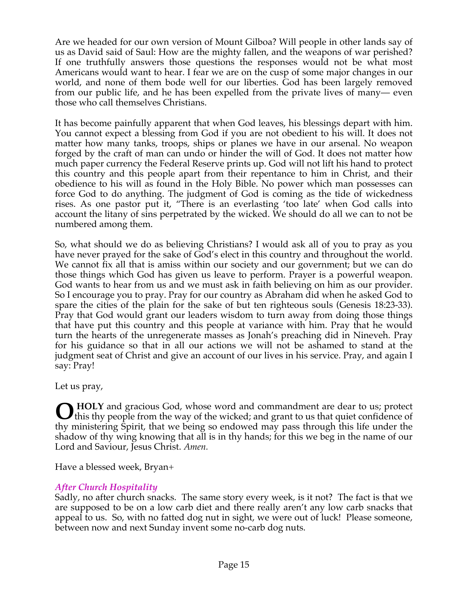Are we headed for our own version of Mount Gilboa? Will people in other lands say of us as David said of Saul: How are the mighty fallen, and the weapons of war perished? If one truthfully answers those questions the responses would not be what most Americans would want to hear. I fear we are on the cusp of some major changes in our world, and none of them bode well for our liberties. God has been largely removed from our public life, and he has been expelled from the private lives of many— even those who call themselves Christians.

It has become painfully apparent that when God leaves, his blessings depart with him. You cannot expect a blessing from God if you are not obedient to his will. It does not matter how many tanks, troops, ships or planes we have in our arsenal. No weapon forged by the craft of man can undo or hinder the will of God. It does not matter how much paper currency the Federal Reserve prints up. God will not lift his hand to protect this country and this people apart from their repentance to him in Christ, and their obedience to his will as found in the Holy Bible. No power which man possesses can force God to do anything. The judgment of God is coming as the tide of wickedness rises. As one pastor put it, "There is an everlasting 'too late' when God calls into account the litany of sins perpetrated by the wicked. We should do all we can to not be numbered among them.

So, what should we do as believing Christians? I would ask all of you to pray as you have never prayed for the sake of God's elect in this country and throughout the world. We cannot fix all that is amiss within our society and our government; but we can do those things which God has given us leave to perform. Prayer is a powerful weapon. God wants to hear from us and we must ask in faith believing on him as our provider. So I encourage you to pray. Pray for our country as Abraham did when he asked God to spare the cities of the plain for the sake of but ten righteous souls (Genesis 18:23-33). Pray that God would grant our leaders wisdom to turn away from doing those things that have put this country and this people at variance with him. Pray that he would turn the hearts of the unregenerate masses as Jonah's preaching did in Nineveh. Pray for his guidance so that in all our actions we will not be ashamed to stand at the judgment seat of Christ and give an account of our lives in his service. Pray, and again I say: Pray!

Let us pray,

 **HOLY** and gracious God, whose word and commandment are dear to us; protect **O** HOLY and gracious God, whose word and commandment are dear to us; protect this thy people from the way of the wicked; and grant to us that quiet confidence of thy ministering Spirit, that we being so endowed may pass through this life under the shadow of thy wing knowing that all is in thy hands; for this we beg in the name of our Lord and Saviour, Jesus Christ. *Amen.*

Have a blessed week, Bryan+

# *After Church Hospitality*

Sadly, no after church snacks. The same story every week, is it not? The fact is that we are supposed to be on a low carb diet and there really aren't any low carb snacks that appeal to us. So, with no fatted dog nut in sight, we were out of luck! Please someone, between now and next Sunday invent some no-carb dog nuts.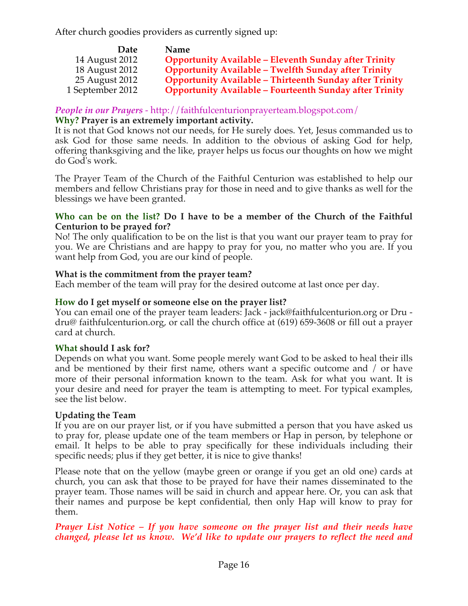After church goodies providers as currently signed up:

| <b>Date</b>      | Name                                                           |
|------------------|----------------------------------------------------------------|
| 14 August 2012   | <b>Opportunity Available - Eleventh Sunday after Trinity</b>   |
| 18 August 2012   | <b>Opportunity Available - Twelfth Sunday after Trinity</b>    |
| 25 August 2012   | <b>Opportunity Available - Thirteenth Sunday after Trinity</b> |
| 1 September 2012 | <b>Opportunity Available - Fourteenth Sunday after Trinity</b> |

*People in our Prayers* - http://faithfulcenturionprayerteam.blogspot.com/ **Why? Prayer is an extremely important activity.**

It is not that God knows not our needs, for He surely does. Yet, Jesus commanded us to ask God for those same needs. In addition to the obvious of asking God for help, offering thanksgiving and the like, prayer helps us focus our thoughts on how we might do God's work.

The Prayer Team of the Church of the Faithful Centurion was established to help our members and fellow Christians pray for those in need and to give thanks as well for the blessings we have been granted.

### **Who can be on the list? Do I have to be a member of the Church of the Faithful Centurion to be prayed for?**

No! The only qualification to be on the list is that you want our prayer team to pray for you. We are Christians and are happy to pray for you, no matter who you are. If you want help from God, you are our kind of people.

### **What is the commitment from the prayer team?**

Each member of the team will pray for the desired outcome at last once per day.

### **How do I get myself or someone else on the prayer list?**

You can email one of the prayer team leaders: Jack - jack@faithfulcenturion.org or Dru dru@ faithfulcenturion.org, or call the church office at (619) 659-3608 or fill out a prayer card at church.

### **What should I ask for?**

Depends on what you want. Some people merely want God to be asked to heal their ills and be mentioned by their first name, others want a specific outcome and / or have more of their personal information known to the team. Ask for what you want. It is your desire and need for prayer the team is attempting to meet. For typical examples, see the list below.

# **Updating the Team**

If you are on our prayer list, or if you have submitted a person that you have asked us to pray for, please update one of the team members or Hap in person, by telephone or email. It helps to be able to pray specifically for these individuals including their specific needs; plus if they get better, it is nice to give thanks!

Please note that on the yellow (maybe green or orange if you get an old one) cards at church, you can ask that those to be prayed for have their names disseminated to the prayer team. Those names will be said in church and appear here. Or, you can ask that their names and purpose be kept confidential, then only Hap will know to pray for them.

*Prayer List Notice – If you have someone on the prayer list and their needs have changed, please let us know. We'd like to update our prayers to reflect the need and*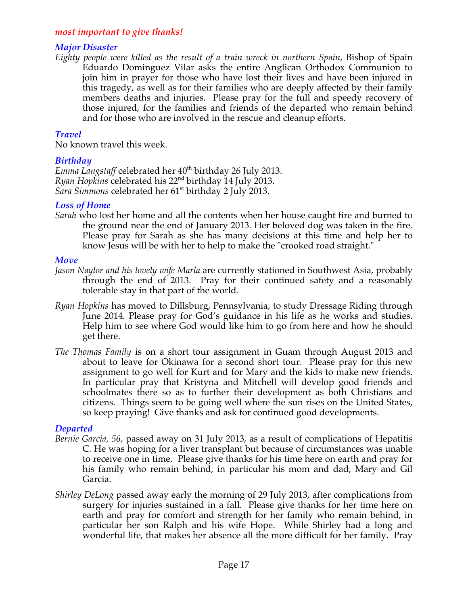#### *most important to give thanks!*

#### *Major Disaster*

*Eighty people were killed as the result of a train wreck in northern Spain*, Bishop of Spain Eduardo Dominguez Vilar asks the entire Anglican Orthodox Communion to join him in prayer for those who have lost their lives and have been injured in this tragedy, as well as for their families who are deeply affected by their family members deaths and injuries. Please pray for the full and speedy recovery of those injured, for the families and friends of the departed who remain behind and for those who are involved in the rescue and cleanup efforts.

### *Travel*

No known travel this week.

### *Birthday*

*Emma Langstaff* celebrated her 40<sup>th</sup> birthday 26 July 2013. *Ryan Hopkins* celebrated his 22nd birthday 14 July 2013. Sara Simmons celebrated her 61<sup>st</sup> birthday 2 July 2013.

### *Loss of Home*

*Sarah* who lost her home and all the contents when her house caught fire and burned to the ground near the end of January 2013. Her beloved dog was taken in the fire. Please pray for Sarah as she has many decisions at this time and help her to know Jesus will be with her to help to make the "crooked road straight."

### *Move*

- *Jason Naylor and his lovely wife Marla* are currently stationed in Southwest Asia, probably through the end of 2013. Pray for their continued safety and a reasonably tolerable stay in that part of the world.
- *Ryan Hopkins* has moved to Dillsburg, Pennsylvania, to study Dressage Riding through June 2014. Please pray for God's guidance in his life as he works and studies. Help him to see where God would like him to go from here and how he should get there.
- *The Thomas Family* is on a short tour assignment in Guam through August 2013 and about to leave for Okinawa for a second short tour. Please pray for this new assignment to go well for Kurt and for Mary and the kids to make new friends. In particular pray that Kristyna and Mitchell will develop good friends and schoolmates there so as to further their development as both Christians and citizens. Things seem to be going well where the sun rises on the United States, so keep praying! Give thanks and ask for continued good developments.

### *Departed*

- *Bernie Garcia, 56,* passed away on 31 July 2013, as a result of complications of Hepatitis C. He was hoping for a liver transplant but because of circumstances was unable to receive one in time. Please give thanks for his time here on earth and pray for his family who remain behind, in particular his mom and dad, Mary and Gil Garcia.
- *Shirley DeLong* passed away early the morning of 29 July 2013, after complications from surgery for injuries sustained in a fall. Please give thanks for her time here on earth and pray for comfort and strength for her family who remain behind, in particular her son Ralph and his wife Hope. While Shirley had a long and wonderful life, that makes her absence all the more difficult for her family. Pray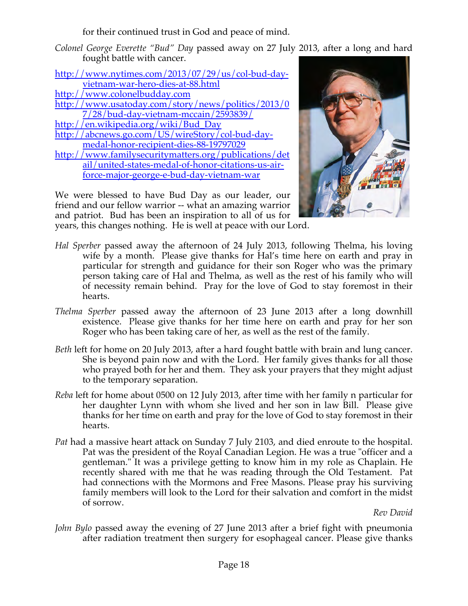for their continued trust in God and peace of mind.

- *Colonel George Everette "Bud" Day* passed away on 27 July 2013, after a long and hard fought battle with cancer.
- http://www.nytimes.com/2013/07/29/us/col-bud-dayvietnam-war-hero-dies-at-88.html
- http://www.colonelbudday.com
- http://www.usatoday.com/story/news/politics/2013/0 7/28/bud-day-vietnam-mccain/2593839/
- http://en.wikipedia.org/wiki/Bud\_Day
- http://abcnews.go.com/US/wireStory/col-bud-daymedal-honor-recipient-dies-88-19797029
- http://www.familysecuritymatters.org/publications/det ail/united-states-medal-of-honor-citations-us-airforce-major-george-e-bud-day-vietnam-war



We were blessed to have Bud Day as our leader, our friend and our fellow warrior -- what an amazing warrior and patriot. Bud has been an inspiration to all of us for

- years, this changes nothing. He is well at peace with our Lord.
- *Hal Sperber* passed away the afternoon of 24 July 2013, following Thelma, his loving wife by a month. Please give thanks for Hal's time here on earth and pray in particular for strength and guidance for their son Roger who was the primary person taking care of Hal and Thelma, as well as the rest of his family who will of necessity remain behind. Pray for the love of God to stay foremost in their hearts.
- *Thelma Sperber* passed away the afternoon of 23 June 2013 after a long downhill existence. Please give thanks for her time here on earth and pray for her son Roger who has been taking care of her, as well as the rest of the family.
- *Beth* left for home on 20 July 2013, after a hard fought battle with brain and lung cancer. She is beyond pain now and with the Lord. Her family gives thanks for all those who prayed both for her and them. They ask your prayers that they might adjust to the temporary separation.
- *Reba* left for home about 0500 on 12 July 2013, after time with her family n particular for her daughter Lynn with whom she lived and her son in law Bill. Please give thanks for her time on earth and pray for the love of God to stay foremost in their hearts.
- *Pat* had a massive heart attack on Sunday 7 July 2103, and died enroute to the hospital. Pat was the president of the Royal Canadian Legion. He was a true "officer and a gentleman." It was a privilege getting to know him in my role as Chaplain. He recently shared with me that he was reading through the Old Testament. Pat had connections with the Mormons and Free Masons. Please pray his surviving family members will look to the Lord for their salvation and comfort in the midst of sorrow.

*Rev David*

*John Bylo* passed away the evening of 27 June 2013 after a brief fight with pneumonia after radiation treatment then surgery for esophageal cancer. Please give thanks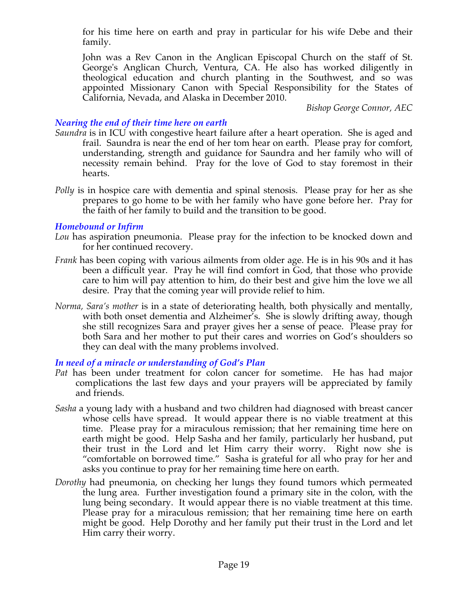for his time here on earth and pray in particular for his wife Debe and their family.

John was a Rev Canon in the Anglican Episcopal Church on the staff of St. George's Anglican Church, Ventura, CA. He also has worked diligently in theological education and church planting in the Southwest, and so was appointed Missionary Canon with Special Responsibility for the States of California, Nevada, and Alaska in December 2010.

*Bishop George Connor, AEC*

### *Nearing the end of their time here on earth*

- *Saundra* is in ICU with congestive heart failure after a heart operation. She is aged and frail. Saundra is near the end of her tom hear on earth. Please pray for comfort, understanding, strength and guidance for Saundra and her family who will of necessity remain behind. Pray for the love of God to stay foremost in their hearts.
- *Polly* is in hospice care with dementia and spinal stenosis. Please pray for her as she prepares to go home to be with her family who have gone before her. Pray for the faith of her family to build and the transition to be good.

### *Homebound or Infirm*

- *Lou* has aspiration pneumonia. Please pray for the infection to be knocked down and for her continued recovery.
- *Frank* has been coping with various ailments from older age. He is in his 90s and it has been a difficult year. Pray he will find comfort in God, that those who provide care to him will pay attention to him, do their best and give him the love we all desire. Pray that the coming year will provide relief to him.
- *Norma, Sara's mother* is in a state of deteriorating health, both physically and mentally, with both onset dementia and Alzheimer's. She is slowly drifting away, though she still recognizes Sara and prayer gives her a sense of peace. Please pray for both Sara and her mother to put their cares and worries on God's shoulders so they can deal with the many problems involved.

### *In need of a miracle or understanding of God's Plan*

- *Pat* has been under treatment for colon cancer for sometime. He has had major complications the last few days and your prayers will be appreciated by family and friends.
- *Sasha* a young lady with a husband and two children had diagnosed with breast cancer whose cells have spread. It would appear there is no viable treatment at this time. Please pray for a miraculous remission; that her remaining time here on earth might be good. Help Sasha and her family, particularly her husband, put their trust in the Lord and let Him carry their worry. Right now she is "comfortable on borrowed time." Sasha is grateful for all who pray for her and asks you continue to pray for her remaining time here on earth.
- *Dorothy* had pneumonia, on checking her lungs they found tumors which permeated the lung area. Further investigation found a primary site in the colon, with the lung being secondary. It would appear there is no viable treatment at this time. Please pray for a miraculous remission; that her remaining time here on earth might be good. Help Dorothy and her family put their trust in the Lord and let Him carry their worry.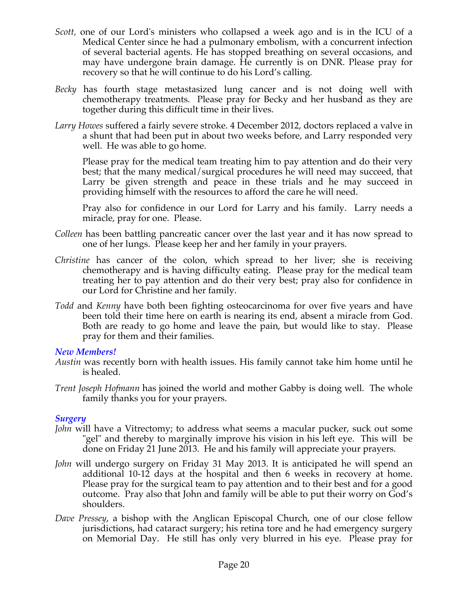- *Scott,* one of our Lord's ministers who collapsed a week ago and is in the ICU of a Medical Center since he had a pulmonary embolism, with a concurrent infection of several bacterial agents. He has stopped breathing on several occasions, and may have undergone brain damage. He currently is on DNR. Please pray for recovery so that he will continue to do his Lord's calling*.*
- *Becky* has fourth stage metastasized lung cancer and is not doing well with chemotherapy treatments. Please pray for Becky and her husband as they are together during this difficult time in their lives.
- *Larry Howes* suffered a fairly severe stroke. 4 December 2012, doctors replaced a valve in a shunt that had been put in about two weeks before, and Larry responded very well. He was able to go home.

Please pray for the medical team treating him to pay attention and do their very best; that the many medical/surgical procedures he will need may succeed, that Larry be given strength and peace in these trials and he may succeed in providing himself with the resources to afford the care he will need.

Pray also for confidence in our Lord for Larry and his family. Larry needs a miracle, pray for one. Please.

- *Colleen* has been battling pancreatic cancer over the last year and it has now spread to one of her lungs. Please keep her and her family in your prayers.
- *Christine* has cancer of the colon, which spread to her liver; she is receiving chemotherapy and is having difficulty eating. Please pray for the medical team treating her to pay attention and do their very best; pray also for confidence in our Lord for Christine and her family.
- *Todd* and *Kenny* have both been fighting osteocarcinoma for over five years and have been told their time here on earth is nearing its end, absent a miracle from God. Both are ready to go home and leave the pain, but would like to stay. Please pray for them and their families.

### *New Members!*

- *Austin* was recently born with health issues. His family cannot take him home until he is healed.
- *Trent Joseph Hofmann* has joined the world and mother Gabby is doing well. The whole family thanks you for your prayers.

### *Surgery*

- *John* will have a Vitrectomy; to address what seems a macular pucker, suck out some "gel" and thereby to marginally improve his vision in his left eye. This will be done on Friday 21 June 2013. He and his family will appreciate your prayers.
- *John* will undergo surgery on Friday 31 May 2013. It is anticipated he will spend an additional 10-12 days at the hospital and then 6 weeks in recovery at home. Please pray for the surgical team to pay attention and to their best and for a good outcome. Pray also that John and family will be able to put their worry on God's shoulders.
- *Dave Pressey*, a bishop with the Anglican Episcopal Church, one of our close fellow jurisdictions, had cataract surgery; his retina tore and he had emergency surgery on Memorial Day. He still has only very blurred in his eye. Please pray for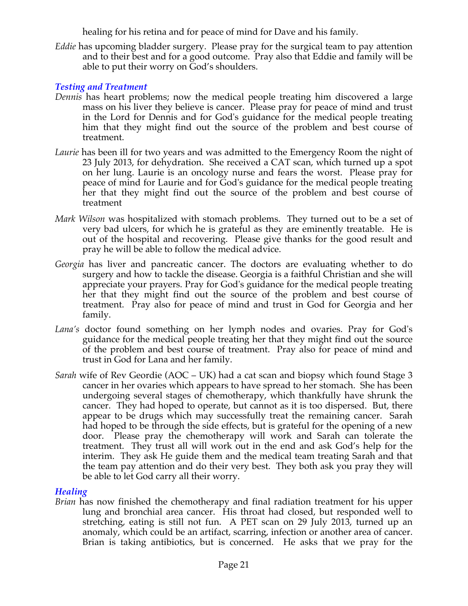healing for his retina and for peace of mind for Dave and his family.

*Eddie* has upcoming bladder surgery. Please pray for the surgical team to pay attention and to their best and for a good outcome. Pray also that Eddie and family will be able to put their worry on God's shoulders.

# *Testing and Treatment*

- *Dennis* has heart problems; now the medical people treating him discovered a large mass on his liver they believe is cancer. Please pray for peace of mind and trust in the Lord for Dennis and for God's guidance for the medical people treating him that they might find out the source of the problem and best course of treatment.
- *Laurie* has been ill for two years and was admitted to the Emergency Room the night of 23 July 2013, for dehydration. She received a CAT scan, which turned up a spot on her lung. Laurie is an oncology nurse and fears the worst. Please pray for peace of mind for Laurie and for God's guidance for the medical people treating her that they might find out the source of the problem and best course of treatment
- *Mark Wilson* was hospitalized with stomach problems. They turned out to be a set of very bad ulcers, for which he is grateful as they are eminently treatable. He is out of the hospital and recovering. Please give thanks for the good result and pray he will be able to follow the medical advice.
- *Georgia* has liver and pancreatic cancer. The doctors are evaluating whether to do surgery and how to tackle the disease. Georgia is a faithful Christian and she will appreciate your prayers. Pray for God's guidance for the medical people treating her that they might find out the source of the problem and best course of treatment. Pray also for peace of mind and trust in God for Georgia and her family.
- *Lana's* doctor found something on her lymph nodes and ovaries. Pray for God's guidance for the medical people treating her that they might find out the source of the problem and best course of treatment. Pray also for peace of mind and trust in God for Lana and her family.
- *Sarah* wife of Rev Geordie (AOC UK) had a cat scan and biopsy which found Stage 3 cancer in her ovaries which appears to have spread to her stomach. She has been undergoing several stages of chemotherapy, which thankfully have shrunk the cancer. They had hoped to operate, but cannot as it is too dispersed. But, there appear to be drugs which may successfully treat the remaining cancer. Sarah had hoped to be through the side effects, but is grateful for the opening of a new door. Please pray the chemotherapy will work and Sarah can tolerate the treatment. They trust all will work out in the end and ask God's help for the interim. They ask He guide them and the medical team treating Sarah and that the team pay attention and do their very best. They both ask you pray they will be able to let God carry all their worry.

### *Healing*

*Brian* has now finished the chemotherapy and final radiation treatment for his upper lung and bronchial area cancer. His throat had closed, but responded well to stretching, eating is still not fun. A PET scan on 29 July 2013, turned up an anomaly, which could be an artifact, scarring, infection or another area of cancer. Brian is taking antibiotics, but is concerned. He asks that we pray for the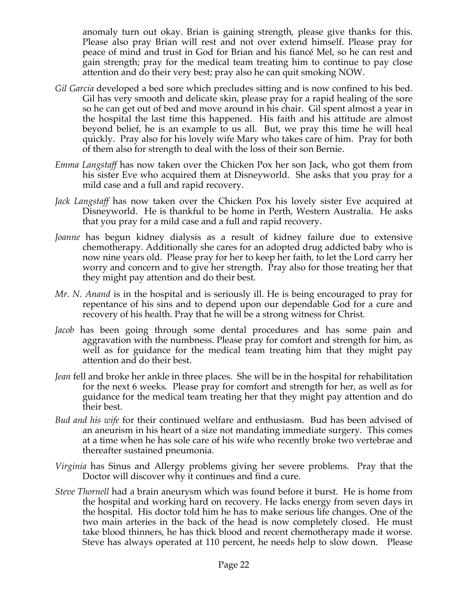anomaly turn out okay. Brian is gaining strength, please give thanks for this. Please also pray Brian will rest and not over extend himself. Please pray for peace of mind and trust in God for Brian and his fiancé Mel, so he can rest and gain strength; pray for the medical team treating him to continue to pay close attention and do their very best; pray also he can quit smoking NOW.

- *Gil Garcia* developed a bed sore which precludes sitting and is now confined to his bed. Gil has very smooth and delicate skin, please pray for a rapid healing of the sore so he can get out of bed and move around in his chair. Gil spent almost a year in the hospital the last time this happened. His faith and his attitude are almost beyond belief, he is an example to us all. But, we pray this time he will heal quickly. Pray also for his lovely wife Mary who takes care of him. Pray for both of them also for strength to deal with the loss of their son Bernie.
- *Emma Langstaff* has now taken over the Chicken Pox her son Jack, who got them from his sister Eve who acquired them at Disneyworld. She asks that you pray for a mild case and a full and rapid recovery.
- *Jack Langstaff* has now taken over the Chicken Pox his lovely sister Eve acquired at Disneyworld. He is thankful to be home in Perth, Western Australia. He asks that you pray for a mild case and a full and rapid recovery.
- *Joanne* has begun kidney dialysis as a result of kidney failure due to extensive chemotherapy. Additionally she cares for an adopted drug addicted baby who is now nine years old. Please pray for her to keep her faith, to let the Lord carry her worry and concern and to give her strength. Pray also for those treating her that they might pay attention and do their best.
- *Mr. N. Anand* is in the hospital and is seriously ill. He is being encouraged to pray for repentance of his sins and to depend upon our dependable God for a cure and recovery of his health. Pray that he will be a strong witness for Christ.
- *Jacob* has been going through some dental procedures and has some pain and aggravation with the numbness. Please pray for comfort and strength for him, as well as for guidance for the medical team treating him that they might pay attention and do their best.
- *Jean* fell and broke her ankle in three places. She will be in the hospital for rehabilitation for the next 6 weeks. Please pray for comfort and strength for her, as well as for guidance for the medical team treating her that they might pay attention and do their best.
- *Bud and his wife* for their continued welfare and enthusiasm. Bud has been advised of an aneurism in his heart of a size not mandating immediate surgery. This comes at a time when he has sole care of his wife who recently broke two vertebrae and thereafter sustained pneumonia.
- *Virginia* has Sinus and Allergy problems giving her severe problems. Pray that the Doctor will discover why it continues and find a cure.
- *Steve Thornell* had a brain aneurysm which was found before it burst. He is home from the hospital and working hard on recovery. He lacks energy from seven days in the hospital. His doctor told him he has to make serious life changes. One of the two main arteries in the back of the head is now completely closed. He must take blood thinners, he has thick blood and recent chemotherapy made it worse. Steve has always operated at 110 percent, he needs help to slow down. Please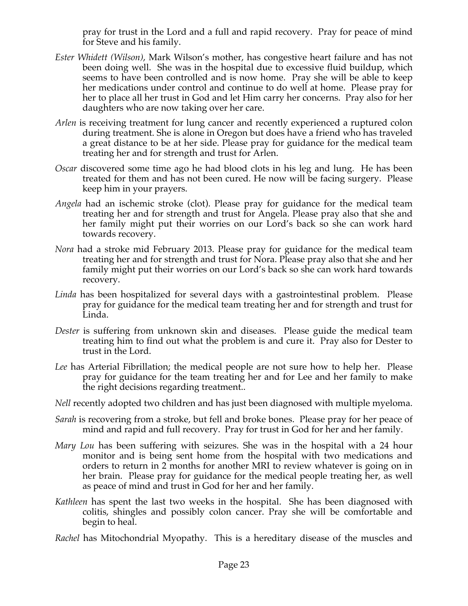pray for trust in the Lord and a full and rapid recovery. Pray for peace of mind for Steve and his family.

- *Ester Whidett (Wilson)*, Mark Wilson's mother, has congestive heart failure and has not been doing well. She was in the hospital due to excessive fluid buildup, which seems to have been controlled and is now home. Pray she will be able to keep her medications under control and continue to do well at home. Please pray for her to place all her trust in God and let Him carry her concerns. Pray also for her daughters who are now taking over her care.
- *Arlen* is receiving treatment for lung cancer and recently experienced a ruptured colon during treatment. She is alone in Oregon but does have a friend who has traveled a great distance to be at her side. Please pray for guidance for the medical team treating her and for strength and trust for Arlen.
- *Oscar* discovered some time ago he had blood clots in his leg and lung. He has been treated for them and has not been cured. He now will be facing surgery. Please keep him in your prayers.
- *Angela* had an ischemic stroke (clot). Please pray for guidance for the medical team treating her and for strength and trust for Angela. Please pray also that she and her family might put their worries on our Lord's back so she can work hard towards recovery.
- *Nora* had a stroke mid February 2013. Please pray for guidance for the medical team treating her and for strength and trust for Nora. Please pray also that she and her family might put their worries on our Lord's back so she can work hard towards recovery.
- *Linda* has been hospitalized for several days with a gastrointestinal problem. Please pray for guidance for the medical team treating her and for strength and trust for Linda.
- *Dester* is suffering from unknown skin and diseases. Please guide the medical team treating him to find out what the problem is and cure it. Pray also for Dester to trust in the Lord.
- *Lee* has Arterial Fibrillation; the medical people are not sure how to help her. Please pray for guidance for the team treating her and for Lee and her family to make the right decisions regarding treatment..
- *Nell* recently adopted two children and has just been diagnosed with multiple myeloma.
- *Sarah* is recovering from a stroke, but fell and broke bones. Please pray for her peace of mind and rapid and full recovery. Pray for trust in God for her and her family.
- *Mary Lou* has been suffering with seizures. She was in the hospital with a 24 hour monitor and is being sent home from the hospital with two medications and orders to return in 2 months for another MRI to review whatever is going on in her brain. Please pray for guidance for the medical people treating her, as well as peace of mind and trust in God for her and her family.
- *Kathleen* has spent the last two weeks in the hospital. She has been diagnosed with colitis, shingles and possibly colon cancer. Pray she will be comfortable and begin to heal.

*Rachel* has Mitochondrial Myopathy. This is a hereditary disease of the muscles and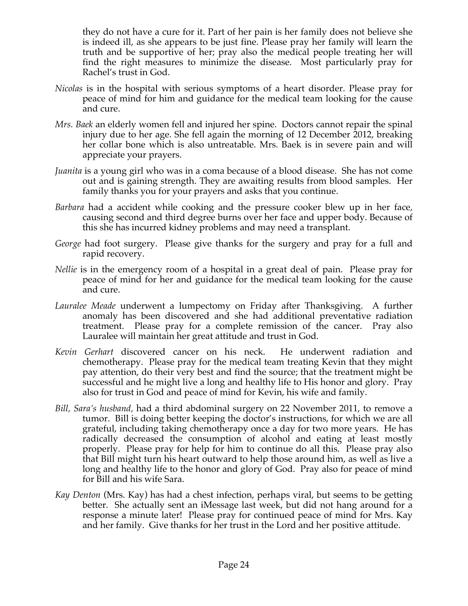they do not have a cure for it. Part of her pain is her family does not believe she is indeed ill, as she appears to be just fine. Please pray her family will learn the truth and be supportive of her; pray also the medical people treating her will find the right measures to minimize the disease. Most particularly pray for Rachel's trust in God.

- *Nicolas* is in the hospital with serious symptoms of a heart disorder. Please pray for peace of mind for him and guidance for the medical team looking for the cause and cure.
- *Mrs. Baek* an elderly women fell and injured her spine. Doctors cannot repair the spinal injury due to her age. She fell again the morning of 12 December 2012, breaking her collar bone which is also untreatable. Mrs. Baek is in severe pain and will appreciate your prayers.
- *Juanita* is a young girl who was in a coma because of a blood disease. She has not come out and is gaining strength. They are awaiting results from blood samples. Her family thanks you for your prayers and asks that you continue.
- *Barbara* had a accident while cooking and the pressure cooker blew up in her face, causing second and third degree burns over her face and upper body. Because of this she has incurred kidney problems and may need a transplant.
- *George* had foot surgery. Please give thanks for the surgery and pray for a full and rapid recovery.
- *Nellie* is in the emergency room of a hospital in a great deal of pain. Please pray for peace of mind for her and guidance for the medical team looking for the cause and cure.
- *Lauralee Meade* underwent a lumpectomy on Friday after Thanksgiving. A further anomaly has been discovered and she had additional preventative radiation treatment. Please pray for a complete remission of the cancer. Pray also Lauralee will maintain her great attitude and trust in God.
- *Kevin Gerhart* discovered cancer on his neck. He underwent radiation and chemotherapy. Please pray for the medical team treating Kevin that they might pay attention, do their very best and find the source; that the treatment might be successful and he might live a long and healthy life to His honor and glory. Pray also for trust in God and peace of mind for Kevin, his wife and family.
- *Bill, Sara's husband,* had a third abdominal surgery on 22 November 2011, to remove a tumor. Bill is doing better keeping the doctor's instructions, for which we are all grateful, including taking chemotherapy once a day for two more years. He has radically decreased the consumption of alcohol and eating at least mostly properly. Please pray for help for him to continue do all this. Please pray also that Bill might turn his heart outward to help those around him, as well as live a long and healthy life to the honor and glory of God. Pray also for peace of mind for Bill and his wife Sara.
- *Kay Denton* (Mrs. Kay) has had a chest infection, perhaps viral, but seems to be getting better. She actually sent an iMessage last week, but did not hang around for a response a minute later! Please pray for continued peace of mind for Mrs. Kay and her family. Give thanks for her trust in the Lord and her positive attitude.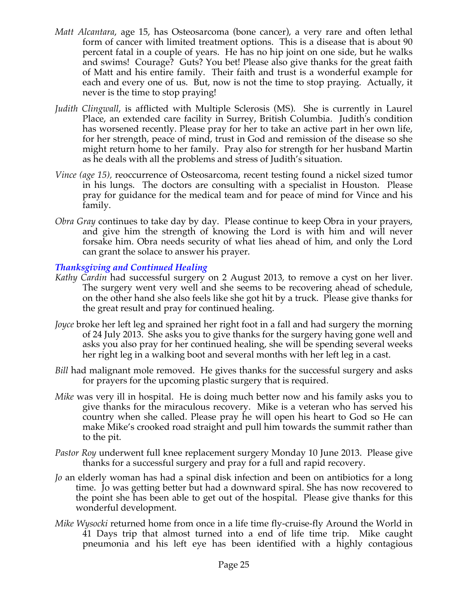- *Matt Alcantara*, age 15, has Osteosarcoma (bone cancer), a very rare and often lethal form of cancer with limited treatment options. This is a disease that is about 90 percent fatal in a couple of years. He has no hip joint on one side, but he walks and swims! Courage? Guts? You bet! Please also give thanks for the great faith of Matt and his entire family. Their faith and trust is a wonderful example for each and every one of us. But, now is not the time to stop praying. Actually, it never is the time to stop praying!
- *Judith Clingwall*, is afflicted with Multiple Sclerosis (MS). She is currently in Laurel Place, an extended care facility in Surrey, British Columbia. Judith's condition has worsened recently. Please pray for her to take an active part in her own life, for her strength, peace of mind, trust in God and remission of the disease so she might return home to her family. Pray also for strength for her husband Martin as he deals with all the problems and stress of Judith's situation.
- *Vince (age 15),* reoccurrence of Osteosarcoma, recent testing found a nickel sized tumor in his lungs. The doctors are consulting with a specialist in Houston. Please pray for guidance for the medical team and for peace of mind for Vince and his family.
- *Obra Gray* continues to take day by day. Please continue to keep Obra in your prayers, and give him the strength of knowing the Lord is with him and will never forsake him. Obra needs security of what lies ahead of him, and only the Lord can grant the solace to answer his prayer.

### *Thanksgiving and Continued Healing*

- *Kathy Cardin* had successful surgery on 2 August 2013, to remove a cyst on her liver. The surgery went very well and she seems to be recovering ahead of schedule, on the other hand she also feels like she got hit by a truck. Please give thanks for the great result and pray for continued healing.
- *Joyce* broke her left leg and sprained her right foot in a fall and had surgery the morning of 24 July 2013. She asks you to give thanks for the surgery having gone well and asks you also pray for her continued healing, she will be spending several weeks her right leg in a walking boot and several months with her left leg in a cast.
- *Bill* had malignant mole removed. He gives thanks for the successful surgery and asks for prayers for the upcoming plastic surgery that is required.
- *Mike* was very ill in hospital. He is doing much better now and his family asks you to give thanks for the miraculous recovery. Mike is a veteran who has served his country when she called. Please pray he will open his heart to God so He can make Mike's crooked road straight and pull him towards the summit rather than to the pit.
- *Pastor Roy* underwent full knee replacement surgery Monday 10 June 2013. Please give thanks for a successful surgery and pray for a full and rapid recovery.
- *Jo* an elderly woman has had a spinal disk infection and been on antibiotics for a long time. Jo was getting better but had a downward spiral. She has now recovered to the point she has been able to get out of the hospital. Please give thanks for this wonderful development.
- *Mike Wysocki* returned home from once in a life time fly-cruise-fly Around the World in 41 Days trip that almost turned into a end of life time trip. Mike caught pneumonia and his left eye has been identified with a highly contagious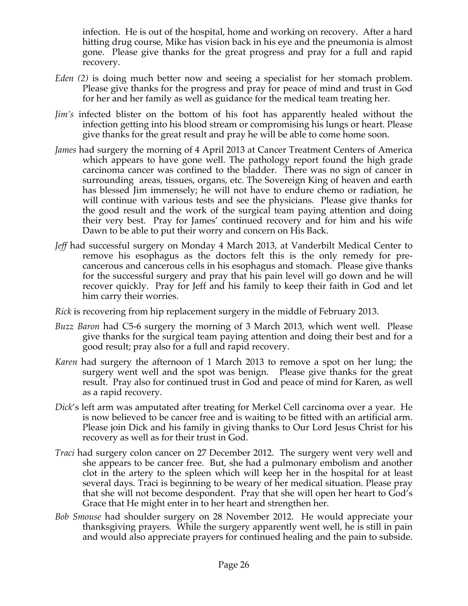infection. He is out of the hospital, home and working on recovery. After a hard hitting drug course, Mike has vision back in his eye and the pneumonia is almost gone. Please give thanks for the great progress and pray for a full and rapid recovery.

- *Eden (2)* is doing much better now and seeing a specialist for her stomach problem. Please give thanks for the progress and pray for peace of mind and trust in God for her and her family as well as guidance for the medical team treating her.
- *Jim's* infected blister on the bottom of his foot has apparently healed without the infection getting into his blood stream or compromising his lungs or heart. Please give thanks for the great result and pray he will be able to come home soon.
- *James* had surgery the morning of 4 April 2013 at Cancer Treatment Centers of America which appears to have gone well. The pathology report found the high grade carcinoma cancer was confined to the bladder. There was no sign of cancer in surrounding areas, tissues, organs, etc. The Sovereign King of heaven and earth has blessed Jim immensely; he will not have to endure chemo or radiation, he will continue with various tests and see the physicians. Please give thanks for the good result and the work of the surgical team paying attention and doing their very best. Pray for James' continued recovery and for him and his wife Dawn to be able to put their worry and concern on His Back.
- *Jeff* had successful surgery on Monday 4 March 2013, at Vanderbilt Medical Center to remove his esophagus as the doctors felt this is the only remedy for precancerous and cancerous cells in his esophagus and stomach. Please give thanks for the successful surgery and pray that his pain level will go down and he will recover quickly. Pray for Jeff and his family to keep their faith in God and let him carry their worries.
- *Rick* is recovering from hip replacement surgery in the middle of February 2013.
- *Buzz Baron* had C5-6 surgery the morning of 3 March 2013, which went well. Please give thanks for the surgical team paying attention and doing their best and for a good result; pray also for a full and rapid recovery.
- *Karen* had surgery the afternoon of 1 March 2013 to remove a spot on her lung; the surgery went well and the spot was benign. Please give thanks for the great result. Pray also for continued trust in God and peace of mind for Karen, as well as a rapid recovery.
- *Dick*'s left arm was amputated after treating for Merkel Cell carcinoma over a year. He is now believed to be cancer free and is waiting to be fitted with an artificial arm. Please join Dick and his family in giving thanks to Our Lord Jesus Christ for his recovery as well as for their trust in God.
- *Traci* had surgery colon cancer on 27 December 2012. The surgery went very well and she appears to be cancer free. But, she had a pulmonary embolism and another clot in the artery to the spleen which will keep her in the hospital for at least several days. Traci is beginning to be weary of her medical situation. Please pray that she will not become despondent. Pray that she will open her heart to God's Grace that He might enter in to her heart and strengthen her.
- *Bob Smouse* had shoulder surgery on 28 November 2012. He would appreciate your thanksgiving prayers. While the surgery apparently went well, he is still in pain and would also appreciate prayers for continued healing and the pain to subside.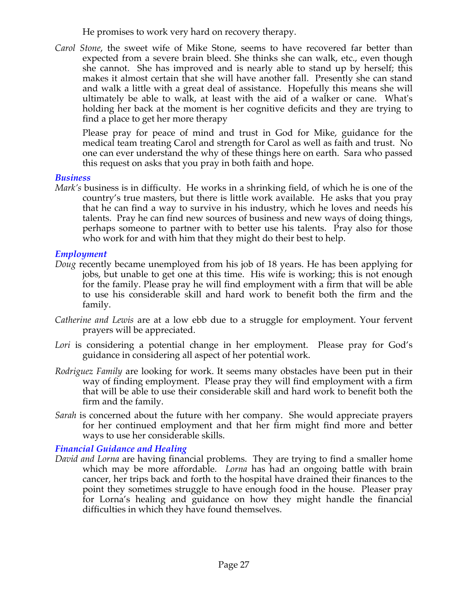He promises to work very hard on recovery therapy.

*Carol Stone*, the sweet wife of Mike Stone, seems to have recovered far better than expected from a severe brain bleed. She thinks she can walk, etc., even though she cannot. She has improved and is nearly able to stand up by herself; this makes it almost certain that she will have another fall. Presently she can stand and walk a little with a great deal of assistance. Hopefully this means she will ultimately be able to walk, at least with the aid of a walker or cane. What's holding her back at the moment is her cognitive deficits and they are trying to find a place to get her more therapy

Please pray for peace of mind and trust in God for Mike, guidance for the medical team treating Carol and strength for Carol as well as faith and trust. No one can ever understand the why of these things here on earth. Sara who passed this request on asks that you pray in both faith and hope.

#### *Business*

*Mark's* business is in difficulty. He works in a shrinking field, of which he is one of the country's true masters, but there is little work available. He asks that you pray that he can find a way to survive in his industry, which he loves and needs his talents. Pray he can find new sources of business and new ways of doing things, perhaps someone to partner with to better use his talents. Pray also for those who work for and with him that they might do their best to help.

### *Employment*

- *Doug* recently became unemployed from his job of 18 years. He has been applying for jobs, but unable to get one at this time. His wife is working; this is not enough for the family. Please pray he will find employment with a firm that will be able to use his considerable skill and hard work to benefit both the firm and the family.
- *Catherine and Lewis* are at a low ebb due to a struggle for employment. Your fervent prayers will be appreciated.
- *Lori* is considering a potential change in her employment. Please pray for God's guidance in considering all aspect of her potential work.
- *Rodriguez Family* are looking for work. It seems many obstacles have been put in their way of finding employment. Please pray they will find employment with a firm that will be able to use their considerable skill and hard work to benefit both the firm and the family.
- *Sarah* is concerned about the future with her company. She would appreciate prayers for her continued employment and that her firm might find more and better ways to use her considerable skills.

# *Financial Guidance and Healing*

*David and Lorna* are having financial problems. They are trying to find a smaller home which may be more affordable. *Lorna* has had an ongoing battle with brain cancer, her trips back and forth to the hospital have drained their finances to the point they sometimes struggle to have enough food in the house. Pleaser pray for Lorna's healing and guidance on how they might handle the financial difficulties in which they have found themselves.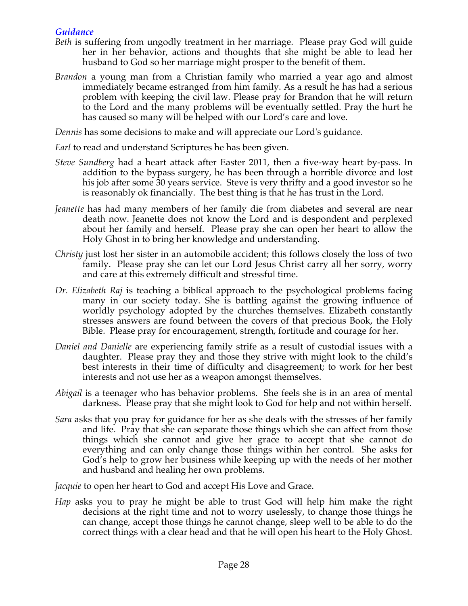### *Guidance*

- *Beth* is suffering from ungodly treatment in her marriage. Please pray God will guide her in her behavior, actions and thoughts that she might be able to lead her husband to God so her marriage might prosper to the benefit of them.
- *Brandon* a young man from a Christian family who married a year ago and almost immediately became estranged from him family. As a result he has had a serious problem with keeping the civil law. Please pray for Brandon that he will return to the Lord and the many problems will be eventually settled. Pray the hurt he has caused so many will be helped with our Lord's care and love.

*Dennis* has some decisions to make and will appreciate our Lord's guidance.

- *Earl* to read and understand Scriptures he has been given.
- *Steve Sundberg* had a heart attack after Easter 2011, then a five-way heart by-pass. In addition to the bypass surgery, he has been through a horrible divorce and lost his job after some 30 years service. Steve is very thrifty and a good investor so he is reasonably ok financially. The best thing is that he has trust in the Lord.
- *Jeanette* has had many members of her family die from diabetes and several are near death now. Jeanette does not know the Lord and is despondent and perplexed about her family and herself. Please pray she can open her heart to allow the Holy Ghost in to bring her knowledge and understanding.
- *Christy* just lost her sister in an automobile accident; this follows closely the loss of two family. Please pray she can let our Lord Jesus Christ carry all her sorry, worry and care at this extremely difficult and stressful time.
- *Dr. Elizabeth Raj* is teaching a biblical approach to the psychological problems facing many in our society today. She is battling against the growing influence of worldly psychology adopted by the churches themselves. Elizabeth constantly stresses answers are found between the covers of that precious Book, the Holy Bible. Please pray for encouragement, strength, fortitude and courage for her.
- *Daniel and Danielle* are experiencing family strife as a result of custodial issues with a daughter. Please pray they and those they strive with might look to the child's best interests in their time of difficulty and disagreement; to work for her best interests and not use her as a weapon amongst themselves.
- *Abigail* is a teenager who has behavior problems. She feels she is in an area of mental darkness. Please pray that she might look to God for help and not within herself.
- *Sara* asks that you pray for guidance for her as she deals with the stresses of her family and life. Pray that she can separate those things which she can affect from those things which she cannot and give her grace to accept that she cannot do everything and can only change those things within her control. She asks for God's help to grow her business while keeping up with the needs of her mother and husband and healing her own problems.

*Jacquie* to open her heart to God and accept His Love and Grace.

*Hap* asks you to pray he might be able to trust God will help him make the right decisions at the right time and not to worry uselessly, to change those things he can change, accept those things he cannot change, sleep well to be able to do the correct things with a clear head and that he will open his heart to the Holy Ghost.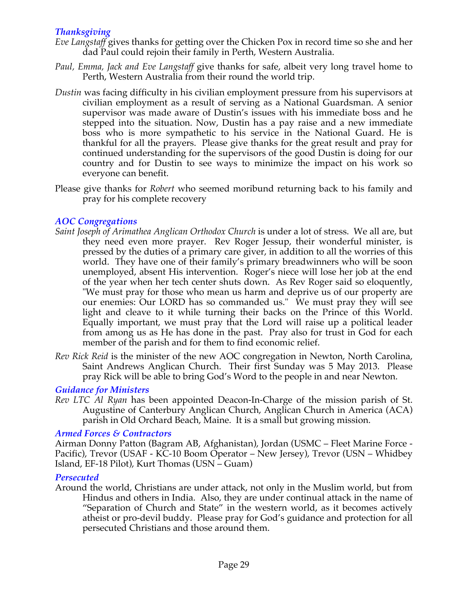# *Thanksgiving*

- *Eve Langstaff* gives thanks for getting over the Chicken Pox in record time so she and her dad Paul could rejoin their family in Perth, Western Australia.
- *Paul, Emma, Jack and Eve Langstaff* give thanks for safe, albeit very long travel home to Perth, Western Australia from their round the world trip.
- *Dustin* was facing difficulty in his civilian employment pressure from his supervisors at civilian employment as a result of serving as a National Guardsman. A senior supervisor was made aware of Dustin's issues with his immediate boss and he stepped into the situation. Now, Dustin has a pay raise and a new immediate boss who is more sympathetic to his service in the National Guard. He is thankful for all the prayers. Please give thanks for the great result and pray for continued understanding for the supervisors of the good Dustin is doing for our country and for Dustin to see ways to minimize the impact on his work so everyone can benefit.
- Please give thanks for *Robert* who seemed moribund returning back to his family and pray for his complete recovery

### *AOC Congregations*

- *Saint Joseph of Arimathea Anglican Orthodox Church* is under a lot of stress. We all are, but they need even more prayer. Rev Roger Jessup, their wonderful minister, is pressed by the duties of a primary care giver, in addition to all the worries of this world. They have one of their family's primary breadwinners who will be soon unemployed, absent His intervention. Roger's niece will lose her job at the end of the year when her tech center shuts down. As Rev Roger said so eloquently, "We must pray for those who mean us harm and deprive us of our property are our enemies: Our LORD has so commanded us." We must pray they will see light and cleave to it while turning their backs on the Prince of this World. Equally important, we must pray that the Lord will raise up a political leader from among us as He has done in the past. Pray also for trust in God for each member of the parish and for them to find economic relief.
- *Rev Rick Reid* is the minister of the new AOC congregation in Newton, North Carolina, Saint Andrews Anglican Church. Their first Sunday was 5 May 2013. Please pray Rick will be able to bring God's Word to the people in and near Newton.

### *Guidance for Ministers*

*Rev LTC Al Ryan* has been appointed Deacon-In-Charge of the mission parish of St. Augustine of Canterbury Anglican Church, Anglican Church in America (ACA) parish in Old Orchard Beach, Maine. It is a small but growing mission.

#### *Armed Forces & Contractors*

Airman Donny Patton (Bagram AB, Afghanistan), Jordan (USMC – Fleet Marine Force - Pacific), Trevor (USAF - KC-10 Boom Operator – New Jersey), Trevor (USN – Whidbey Island, EF-18 Pilot), Kurt Thomas (USN – Guam)

### *Persecuted*

Around the world, Christians are under attack, not only in the Muslim world, but from Hindus and others in India. Also, they are under continual attack in the name of "Separation of Church and State" in the western world, as it becomes actively atheist or pro-devil buddy. Please pray for God's guidance and protection for all persecuted Christians and those around them.